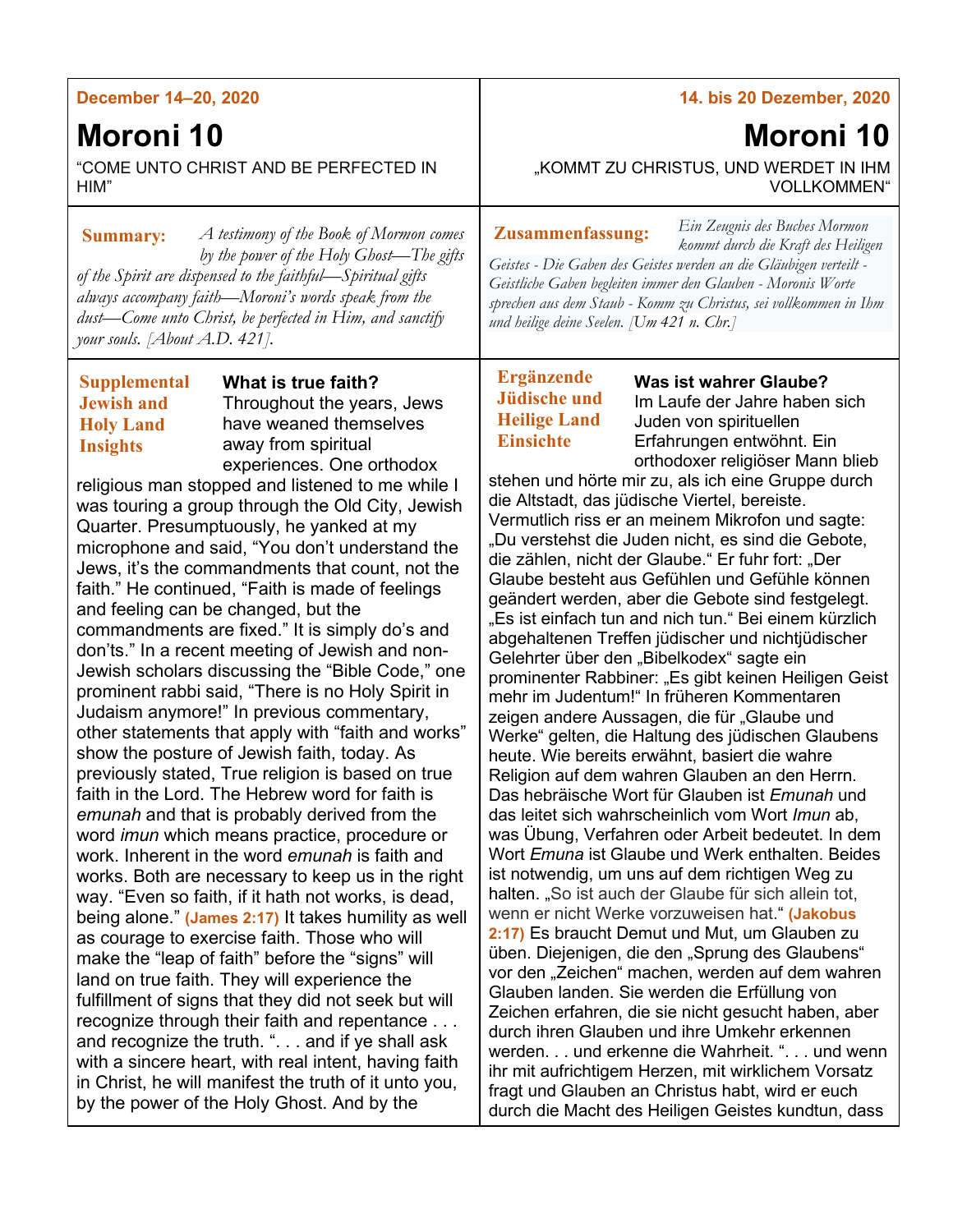### **December 14–20, 2020**

# **Moroni 10**

"COME UNTO CHRIST AND BE PERFECTED IN HIM"

*A testimony of the Book of Mormon comes*  **Summary: Zusammenfassung:** *by the power of the Holy Ghost—The gifts of the Spirit are dispensed to the faithful—Spiritual gifts always accompany faith—Moroni's words speak from the dust—Come unto Christ, be perfected in Him, and sanctify your souls. [About A.D. 421].*

## **Supplemental Jewish and Holy Land Insights**

**What is true faith?** Throughout the years, Jews have weaned themselves away from spiritual experiences. One orthodox

religious man stopped and listened to me while I was touring a group through the Old City, Jewish Quarter. Presumptuously, he yanked at my microphone and said, "You don't understand the Jews, it's the commandments that count, not the faith." He continued, "Faith is made of feelings and feeling can be changed, but the commandments are fixed." It is simply do's and don'ts." In a recent meeting of Jewish and non-Jewish scholars discussing the "Bible Code," one prominent rabbi said, "There is no Holy Spirit in Judaism anymore!" In previous commentary, other statements that apply with "faith and works" show the posture of Jewish faith, today. As previously stated, True religion is based on true faith in the Lord. The Hebrew word for faith is *emunah* and that is probably derived from the word *imun* which means practice, procedure or work. Inherent in the word *emunah* is faith and works. Both are necessary to keep us in the right way. "Even so faith, if it hath not works, is dead, being alone." **(James 2:17)** It takes humility as well as courage to exercise faith. Those who will make the "leap of faith" before the "signs" will land on true faith. They will experience the fulfillment of signs that they did not seek but will recognize through their faith and repentance . . . and recognize the truth. ". . . and if ye shall ask with a sincere heart, with real intent, having faith in Christ, he will manifest the truth of it unto you, by the power of the Holy Ghost. And by the

#### **14. bis 20 Dezember, 2020**

*Ein Zeugnis des Buches Mormon* 

**Moroni 10**

"KOMMT ZU CHRISTUS, UND WERDET IN IHM VOLLKOMMEN"

*kommt durch die Kraft des Heiligen Geistes - Die Gaben des Geistes werden an die Gläubigen verteilt - Geistliche Gaben begleiten immer den Glauben - Moronis Worte sprechen aus dem Staub - Komm zu Christus, sei vollkommen in Ihm und heilige deine Seelen. [Um 421 n. Chr.]*

# **Ergänzende Jüdische und Heilige Land Einsichte**

**Was ist wahrer Glaube?** Im Laufe der Jahre haben sich Juden von spirituellen Erfahrungen entwöhnt. Ein orthodoxer religiöser Mann blieb stehen und hörte mir zu, als ich eine Gruppe durch

die Altstadt, das jüdische Viertel, bereiste. Vermutlich riss er an meinem Mikrofon und sagte: "Du verstehst die Juden nicht, es sind die Gebote, die zählen, nicht der Glaube." Er fuhr fort: "Der Glaube besteht aus Gefühlen und Gefühle können geändert werden, aber die Gebote sind festgelegt. "Es ist einfach tun and nich tun." Bei einem kürzlich abgehaltenen Treffen jüdischer und nichtjüdischer Gelehrter über den "Bibelkodex" sagte ein prominenter Rabbiner: "Es gibt keinen Heiligen Geist mehr im Judentum!" In früheren Kommentaren zeigen andere Aussagen, die für "Glaube und Werke" gelten, die Haltung des jüdischen Glaubens heute. Wie bereits erwähnt, basiert die wahre Religion auf dem wahren Glauben an den Herrn. Das hebräische Wort für Glauben ist *Emunah* und das leitet sich wahrscheinlich vom Wort *Imun* ab, was Übung, Verfahren oder Arbeit bedeutet. In dem Wort *Emuna* ist Glaube und Werk enthalten. Beides ist notwendig, um uns auf dem richtigen Weg zu halten. "So ist auch der Glaube für sich allein tot, wenn er nicht Werke vorzuweisen hat." **(Jakobus 2:17)** Es braucht Demut und Mut, um Glauben zu üben. Diejenigen, die den "Sprung des Glaubens" vor den "Zeichen" machen, werden auf dem wahren Glauben landen. Sie werden die Erfüllung von Zeichen erfahren, die sie nicht gesucht haben, aber durch ihren Glauben und ihre Umkehr erkennen werden. . . und erkenne die Wahrheit. ". . . und wenn ihr mit aufrichtigem Herzen, mit wirklichem Vorsatz fragt und Glauben an Christus habt, wird er euch durch die Macht des Heiligen Geistes kundtun, dass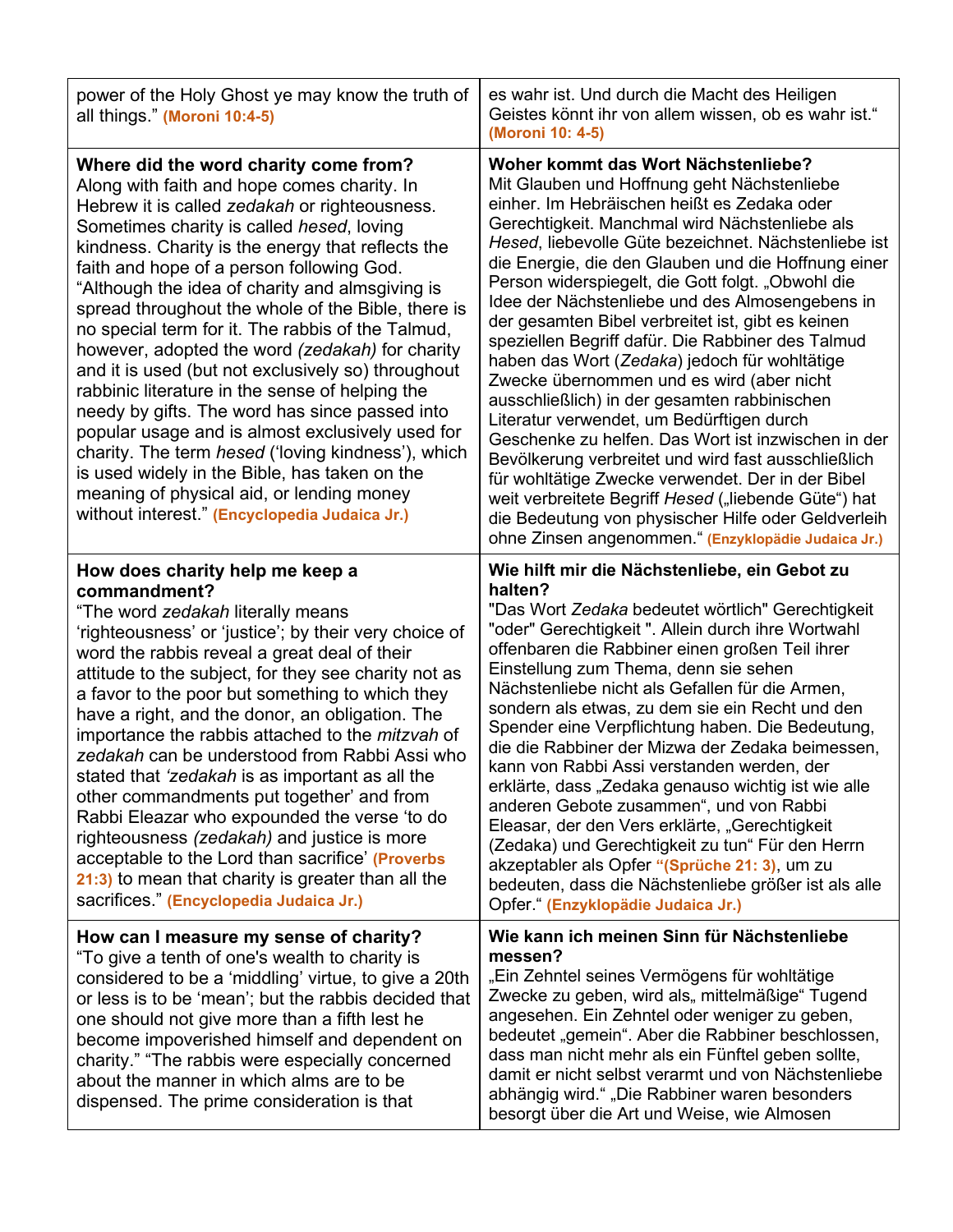| power of the Holy Ghost ye may know the truth of<br>all things." (Moroni 10:4-5)                                                                                                                                                                                                                                                                                                                                                                                                                                                                                                                                                                                                                                                                                                                                                                                                                                          | es wahr ist. Und durch die Macht des Heiligen<br>Geistes könnt ihr von allem wissen, ob es wahr ist."<br>(Moroni 10: 4-5)                                                                                                                                                                                                                                                                                                                                                                                                                                                                                                                                                                                                                                                                                                                                                                                                                                                                                                                                |
|---------------------------------------------------------------------------------------------------------------------------------------------------------------------------------------------------------------------------------------------------------------------------------------------------------------------------------------------------------------------------------------------------------------------------------------------------------------------------------------------------------------------------------------------------------------------------------------------------------------------------------------------------------------------------------------------------------------------------------------------------------------------------------------------------------------------------------------------------------------------------------------------------------------------------|----------------------------------------------------------------------------------------------------------------------------------------------------------------------------------------------------------------------------------------------------------------------------------------------------------------------------------------------------------------------------------------------------------------------------------------------------------------------------------------------------------------------------------------------------------------------------------------------------------------------------------------------------------------------------------------------------------------------------------------------------------------------------------------------------------------------------------------------------------------------------------------------------------------------------------------------------------------------------------------------------------------------------------------------------------|
| Where did the word charity come from?<br>Along with faith and hope comes charity. In<br>Hebrew it is called zedakah or righteousness.<br>Sometimes charity is called hesed, loving<br>kindness. Charity is the energy that reflects the<br>faith and hope of a person following God.<br>"Although the idea of charity and almsgiving is<br>spread throughout the whole of the Bible, there is<br>no special term for it. The rabbis of the Talmud,<br>however, adopted the word (zedakah) for charity<br>and it is used (but not exclusively so) throughout<br>rabbinic literature in the sense of helping the<br>needy by gifts. The word has since passed into<br>popular usage and is almost exclusively used for<br>charity. The term hesed ('loving kindness'), which<br>is used widely in the Bible, has taken on the<br>meaning of physical aid, or lending money<br>without interest." (Encyclopedia Judaica Jr.) | Woher kommt das Wort Nächstenliebe?<br>Mit Glauben und Hoffnung geht Nächstenliebe<br>einher. Im Hebräischen heißt es Zedaka oder<br>Gerechtigkeit. Manchmal wird Nächstenliebe als<br>Hesed, liebevolle Güte bezeichnet. Nächstenliebe ist<br>die Energie, die den Glauben und die Hoffnung einer<br>Person widerspiegelt, die Gott folgt. "Obwohl die<br>Idee der Nächstenliebe und des Almosengebens in<br>der gesamten Bibel verbreitet ist, gibt es keinen<br>speziellen Begriff dafür. Die Rabbiner des Talmud<br>haben das Wort (Zedaka) jedoch für wohltätige<br>Zwecke übernommen und es wird (aber nicht<br>ausschließlich) in der gesamten rabbinischen<br>Literatur verwendet, um Bedürftigen durch<br>Geschenke zu helfen. Das Wort ist inzwischen in der<br>Bevölkerung verbreitet und wird fast ausschließlich<br>für wohltätige Zwecke verwendet. Der in der Bibel<br>weit verbreitete Begriff Hesed ("liebende Güte") hat<br>die Bedeutung von physischer Hilfe oder Geldverleih<br>ohne Zinsen angenommen." (Enzyklopädie Judaica Jr.) |
| How does charity help me keep a<br>commandment?<br>"The word zedakah literally means<br>'righteousness' or 'justice'; by their very choice of<br>word the rabbis reveal a great deal of their<br>attitude to the subject, for they see charity not as<br>a favor to the poor but something to which they<br>have a right, and the donor, an obligation. The<br>importance the rabbis attached to the <i>mitzvah</i> of<br>zedakah can be understood from Rabbi Assi who<br>stated that 'zedakah is as important as all the<br>other commandments put together' and from<br>Rabbi Eleazar who expounded the verse 'to do<br>righteousness (zedakah) and justice is more<br>acceptable to the Lord than sacrifice' (Proverbs<br>21:3) to mean that charity is greater than all the<br>sacrifices." (Encyclopedia Judaica Jr.)                                                                                               | Wie hilft mir die Nächstenliebe, ein Gebot zu<br>halten?<br>"Das Wort Zedaka bedeutet wörtlich" Gerechtigkeit<br>"oder" Gerechtigkeit ". Allein durch ihre Wortwahl<br>offenbaren die Rabbiner einen großen Teil ihrer<br>Einstellung zum Thema, denn sie sehen<br>Nächstenliebe nicht als Gefallen für die Armen,<br>sondern als etwas, zu dem sie ein Recht und den<br>Spender eine Verpflichtung haben. Die Bedeutung,<br>die die Rabbiner der Mizwa der Zedaka beimessen,<br>kann von Rabbi Assi verstanden werden, der<br>erklärte, dass "Zedaka genauso wichtig ist wie alle<br>anderen Gebote zusammen", und von Rabbi<br>Eleasar, der den Vers erklärte, "Gerechtigkeit<br>(Zedaka) und Gerechtigkeit zu tun" Für den Herrn<br>akzeptabler als Opfer "(Sprüche 21: 3), um zu<br>bedeuten, dass die Nächstenliebe größer ist als alle<br>Opfer " (Enzyklopädie Judaica Jr.)                                                                                                                                                                       |
| How can I measure my sense of charity?<br>"To give a tenth of one's wealth to charity is<br>considered to be a 'middling' virtue, to give a 20th<br>or less is to be 'mean'; but the rabbis decided that<br>one should not give more than a fifth lest he<br>become impoverished himself and dependent on<br>charity." "The rabbis were especially concerned<br>about the manner in which alms are to be                                                                                                                                                                                                                                                                                                                                                                                                                                                                                                                  | Wie kann ich meinen Sinn für Nächstenliebe<br>messen?<br>"Ein Zehntel seines Vermögens für wohltätige<br>Zwecke zu geben, wird als,, mittelmäßige" Tugend<br>angesehen. Ein Zehntel oder weniger zu geben,<br>bedeutet "gemein". Aber die Rabbiner beschlossen,<br>dass man nicht mehr als ein Fünftel geben sollte,                                                                                                                                                                                                                                                                                                                                                                                                                                                                                                                                                                                                                                                                                                                                     |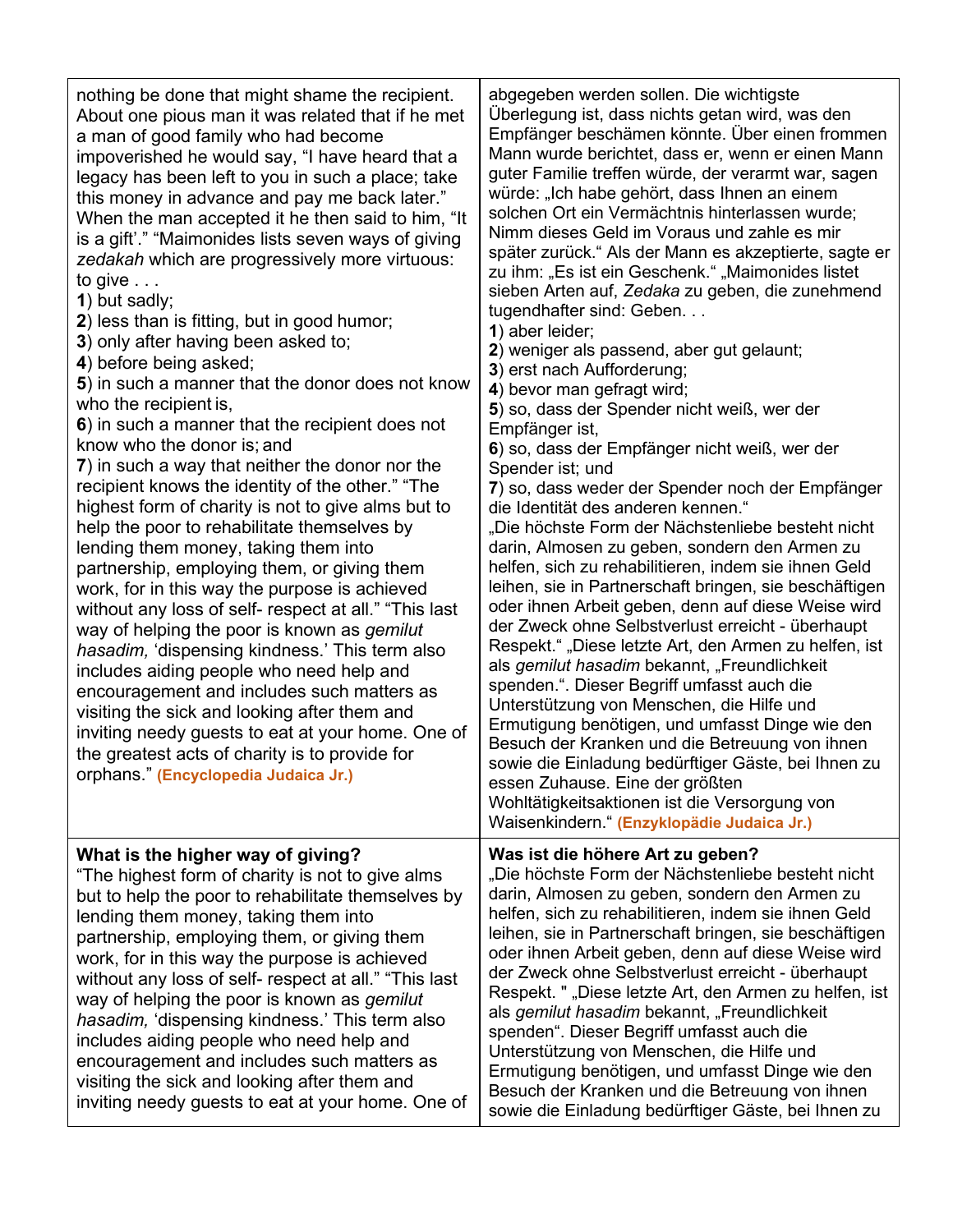| nothing be done that might shame the recipient.<br>About one pious man it was related that if he met<br>a man of good family who had become<br>impoverished he would say, "I have heard that a<br>legacy has been left to you in such a place; take<br>this money in advance and pay me back later."<br>When the man accepted it he then said to him, "It<br>is a gift'." "Maimonides lists seven ways of giving<br>zedakah which are progressively more virtuous:<br>to give $\ldots$<br>1) but sadly;<br>2) less than is fitting, but in good humor;<br>3) only after having been asked to;<br>4) before being asked;<br>5) in such a manner that the donor does not know<br>who the recipient is,<br>6) in such a manner that the recipient does not<br>know who the donor is; and<br>7) in such a way that neither the donor nor the<br>recipient knows the identity of the other." "The<br>highest form of charity is not to give alms but to<br>help the poor to rehabilitate themselves by<br>lending them money, taking them into<br>partnership, employing them, or giving them<br>work, for in this way the purpose is achieved<br>without any loss of self- respect at all." "This last<br>way of helping the poor is known as <i>gemilut</i><br>hasadim, 'dispensing kindness.' This term also<br>includes aiding people who need help and<br>encouragement and includes such matters as<br>visiting the sick and looking after them and<br>inviting needy guests to eat at your home. One of<br>the greatest acts of charity is to provide for<br>orphans." (Encyclopedia Judaica Jr.) | abgegeben werden sollen. Die wichtigste<br>Überlegung ist, dass nichts getan wird, was den<br>Empfänger beschämen könnte. Über einen frommen<br>Mann wurde berichtet, dass er, wenn er einen Mann<br>guter Familie treffen würde, der verarmt war, sagen<br>würde: "Ich habe gehört, dass Ihnen an einem<br>solchen Ort ein Vermächtnis hinterlassen wurde;<br>Nimm dieses Geld im Voraus und zahle es mir<br>später zurück." Als der Mann es akzeptierte, sagte er<br>zu ihm: "Es ist ein Geschenk." "Maimonides listet<br>sieben Arten auf, Zedaka zu geben, die zunehmend<br>tugendhafter sind: Geben<br>1) aber leider;<br>2) weniger als passend, aber gut gelaunt;<br>3) erst nach Aufforderung;<br>4) bevor man gefragt wird;<br>5) so, dass der Spender nicht weiß, wer der<br>Empfänger ist,<br>6) so, dass der Empfänger nicht weiß, wer der<br>Spender ist; und<br>7) so, dass weder der Spender noch der Empfänger<br>die Identität des anderen kennen."<br>"Die höchste Form der Nächstenliebe besteht nicht<br>darin, Almosen zu geben, sondern den Armen zu<br>helfen, sich zu rehabilitieren, indem sie ihnen Geld<br>leihen, sie in Partnerschaft bringen, sie beschäftigen<br>oder ihnen Arbeit geben, denn auf diese Weise wird<br>der Zweck ohne Selbstverlust erreicht - überhaupt<br>Respekt." "Diese letzte Art, den Armen zu helfen, ist<br>als gemilut hasadim bekannt, "Freundlichkeit<br>spenden.". Dieser Begriff umfasst auch die<br>Unterstützung von Menschen, die Hilfe und<br>Ermutigung benötigen, und umfasst Dinge wie den<br>Besuch der Kranken und die Betreuung von ihnen<br>sowie die Einladung bedürftiger Gäste, bei Ihnen zu<br>essen Zuhause. Eine der größten<br>Wohltätigkeitsaktionen ist die Versorgung von<br>Waisenkindern." (Enzyklopädie Judaica Jr.) |
|-----------------------------------------------------------------------------------------------------------------------------------------------------------------------------------------------------------------------------------------------------------------------------------------------------------------------------------------------------------------------------------------------------------------------------------------------------------------------------------------------------------------------------------------------------------------------------------------------------------------------------------------------------------------------------------------------------------------------------------------------------------------------------------------------------------------------------------------------------------------------------------------------------------------------------------------------------------------------------------------------------------------------------------------------------------------------------------------------------------------------------------------------------------------------------------------------------------------------------------------------------------------------------------------------------------------------------------------------------------------------------------------------------------------------------------------------------------------------------------------------------------------------------------------------------------------------------------------------------|-----------------------------------------------------------------------------------------------------------------------------------------------------------------------------------------------------------------------------------------------------------------------------------------------------------------------------------------------------------------------------------------------------------------------------------------------------------------------------------------------------------------------------------------------------------------------------------------------------------------------------------------------------------------------------------------------------------------------------------------------------------------------------------------------------------------------------------------------------------------------------------------------------------------------------------------------------------------------------------------------------------------------------------------------------------------------------------------------------------------------------------------------------------------------------------------------------------------------------------------------------------------------------------------------------------------------------------------------------------------------------------------------------------------------------------------------------------------------------------------------------------------------------------------------------------------------------------------------------------------------------------------------------------------------------------------------------------------------------------------------------------------------------------------------------------|
| What is the higher way of giving?<br>"The highest form of charity is not to give alms<br>but to help the poor to rehabilitate themselves by<br>lending them money, taking them into<br>partnership, employing them, or giving them<br>work, for in this way the purpose is achieved<br>without any loss of self- respect at all." "This last<br>way of helping the poor is known as gemilut<br>hasadim, 'dispensing kindness.' This term also<br>includes aiding people who need help and<br>encouragement and includes such matters as<br>visiting the sick and looking after them and<br>inviting needy guests to eat at your home. One of                                                                                                                                                                                                                                                                                                                                                                                                                                                                                                                                                                                                                                                                                                                                                                                                                                                                                                                                                        | Was ist die höhere Art zu geben?<br>"Die höchste Form der Nächstenliebe besteht nicht<br>darin, Almosen zu geben, sondern den Armen zu<br>helfen, sich zu rehabilitieren, indem sie ihnen Geld<br>leihen, sie in Partnerschaft bringen, sie beschäftigen<br>oder ihnen Arbeit geben, denn auf diese Weise wird<br>der Zweck ohne Selbstverlust erreicht - überhaupt<br>Respekt. " "Diese letzte Art, den Armen zu helfen, ist<br>als gemilut hasadim bekannt, "Freundlichkeit<br>spenden". Dieser Begriff umfasst auch die<br>Unterstützung von Menschen, die Hilfe und<br>Ermutigung benötigen, und umfasst Dinge wie den<br>Besuch der Kranken und die Betreuung von ihnen<br>sowie die Einladung bedürftiger Gäste, bei Ihnen zu                                                                                                                                                                                                                                                                                                                                                                                                                                                                                                                                                                                                                                                                                                                                                                                                                                                                                                                                                                                                                                                                       |